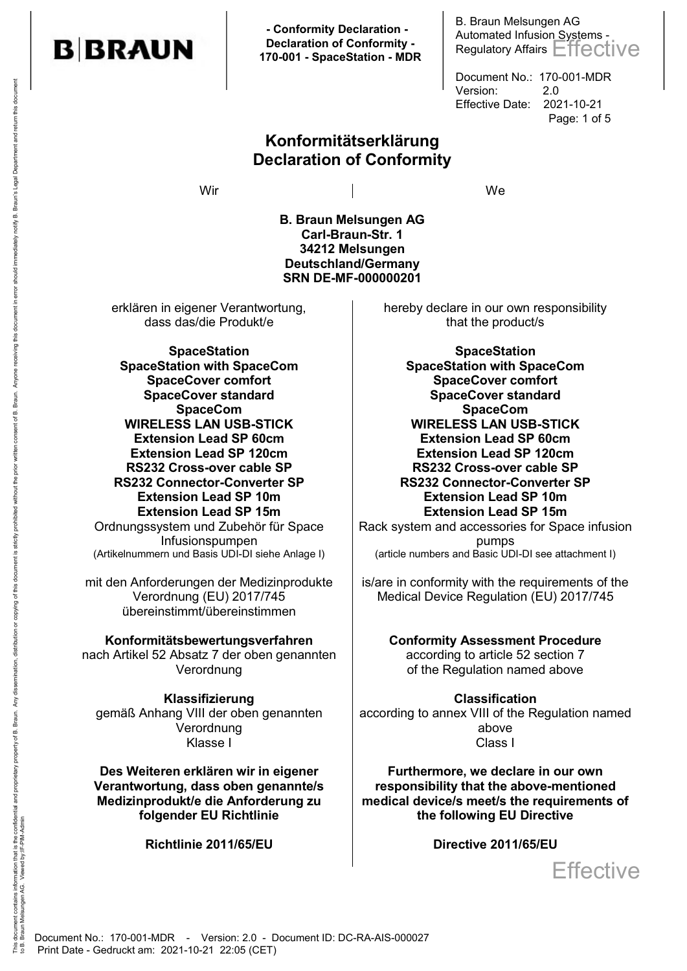

 **- Conformity Declaration - Declaration of Conformity - 170-001 - SpaceStation - MDR** B. Braun Melsungen AG Automated Infusion Systems - Regulatory Affairs Effective

Document No.: 170-001-MDR Version: 2.0 Effective Date: 2021-10-21 Page: 1 of 5

**Konformitätserklärung Declaration of Conformity**

Wir wie in de la de la de la de la de la de la de la de la de la de la de la de la de la de la de la de la de<br>De la de la de la de la de la de la de la de la de la de la de la de la de la de la de la de la de la de la de

**B. Braun Melsungen AG Carl-Braun-Str. 1 34212 Melsungen Deutschland/Germany SRN DE-MF-000000201**

erklären in eigener Verantwortung, dass das/die Produkt/e

**SpaceStation SpaceStation with SpaceCom SpaceCover comfort SpaceCover standard SpaceCom WIRELESS LAN USB-STICK Extension Lead SP 60cm Extension Lead SP 120cm RS232 Cross-over cable SP RS232 Connector-Converter SP Extension Lead SP 10m Extension Lead SP 15m** Ordnungssystem und Zubehör für Space Infusionspumpen<br>(Artikelnummern und Basis UDI-DI siehe Anlage I)

mit den Anforderungen der Medizinprodukte Verordnung (EU) 2017/745 übereinstimmt/übereinstimmen

**Konformitätsbewertungsverfahren**

nach Artikel 52 Absatz 7 der oben genannten Verordnung

**Klassifizierung**  gemäß Anhang VIII der oben genannten Verordnung Klasse I Class I

**Des Weiteren erklären wir in eigener Verantwortung, dass oben genannte/s Medizinprodukt/e die Anforderung zu folgender EU Richtlinie** 

**Richtlinie 2011/65/EU**

hereby declare in our own responsibility that the product/s

**SpaceStation SpaceStation with SpaceCom SpaceCover comfort SpaceCover standard SpaceCom WIRELESS LAN USB-STICK Extension Lead SP 60cm Extension Lead SP 120cm RS232 Cross-over cable SP RS232 Connector-Converter SP Extension Lead SP 10m Extension Lead SP 15m**

Rack system and accessories for Space infusion pumps (article numbers and Basic UDI-DI see attachment I)

is/are in conformity with the requirements of the Medical Device Regulation (EU) 2017/745

> **Conformity Assessment Procedure**  according to article 52 section 7 of the Regulation named above

**Classification**  according to annex VIII of the Regulation named above

**Furthermore, we declare in our own responsibility that the above-mentioned medical device/s meet/s the requirements of the following EU Directive**

**Directive 2011/65/EU**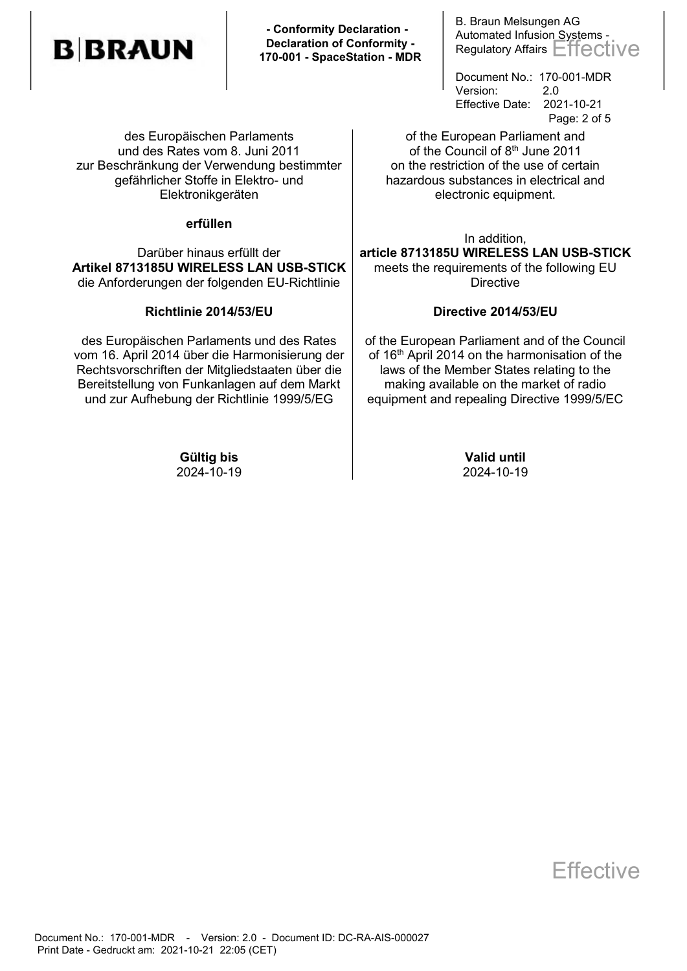# **B**BRAUN

 **- Conformity Declaration - Declaration of Conformity - 170-001 - SpaceStation - MDR** B. Braun Melsungen AG Automated Infusion Systems - Regulatory Affairs Effective

Document No.: 170-001-MDR Version: 2.0 Effective Date: 2021-10-21 Page: 2 of 5

of the European Parliament and of the Council of 8<sup>th</sup> June 2011 on the restriction of the use of certain hazardous substances in electrical and electronic equipment.

In addition,

**article 8713185U WIRELESS LAN USB-STICK** meets the requirements of the following EU **Directive** 

#### **Directive 2014/53/EU**

of the European Parliament and of the Council of 16<sup>th</sup> April 2014 on the harmonisation of the laws of the Member States relating to the making available on the market of radio equipment and repealing Directive 1999/5/EC

des Europäischen Parlaments und des Rates vom 8. Juni 2011 zur Beschränkung der Verwendung bestimmter gefährlicher Stoffe in Elektro- und Elektronikgeräten

#### **erfüllen**

Darüber hinaus erfüllt der **Artikel 8713185U WIRELESS LAN USB-STICK** die Anforderungen der folgenden EU-Richtlinie

#### **Richtlinie 2014/53/EU**

des Europäischen Parlaments und des Rates vom 16. April 2014 über die Harmonisierung der Rechtsvorschriften der Mitgliedstaaten über die Bereitstellung von Funkanlagen auf dem Markt und zur Aufhebung der Richtlinie 1999/5/EG

> **Gültig bis Valid until** 2024-10-19 2024-10-19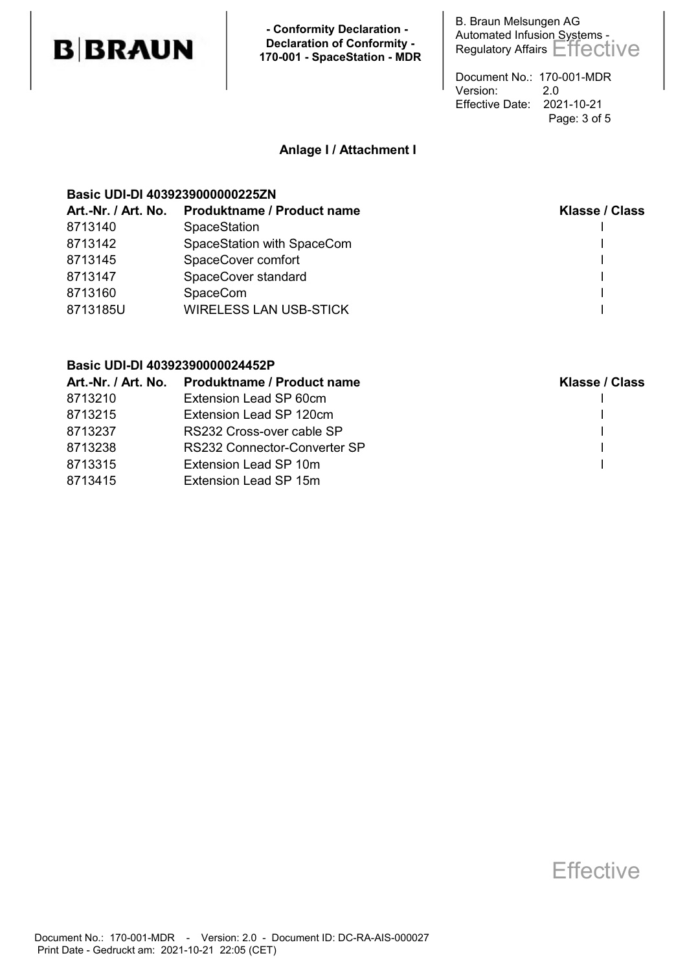## **B**BRAUN

 **- Conformity Declaration - Declaration of Conformity - 170-001 - SpaceStation - MDR** B. Braun Melsungen AG Automated Infusion Systems - Regulatory Affairs Effective

Document No.: 170-001-MDR Version: 2.0 Effective Date: 2021-10-21 Page: 3 of 5

#### **Anlage I / Attachment I**

#### **Basic UDI-DI 4039239000000225ZN**

| Art.-Nr. / Art. No. | <b>Produktname / Product name</b> | Klasse / Class |
|---------------------|-----------------------------------|----------------|
| 8713140             | <b>SpaceStation</b>               |                |
| 8713142             | SpaceStation with SpaceCom        |                |
| 8713145             | SpaceCover comfort                |                |
| 8713147             | SpaceCover standard               |                |
| 8713160             | <b>SpaceCom</b>                   |                |
| 8713185U            | <b>WIRELESS LAN USB-STICK</b>     |                |
|                     |                                   |                |

#### **Basic UDI-DI 40392390000024452P**

|         | Art.-Nr. / Art. No. Produktname / Product name | <b>Klasse / Class</b> |
|---------|------------------------------------------------|-----------------------|
| 8713210 | Extension Lead SP 60cm                         |                       |
| 8713215 | Extension Lead SP 120cm                        |                       |
| 8713237 | RS232 Cross-over cable SP                      |                       |
| 8713238 | RS232 Connector-Converter SP                   |                       |
| 8713315 | Extension Lead SP 10m                          |                       |
| 8713415 | Extension Lead SP 15m                          |                       |
|         |                                                |                       |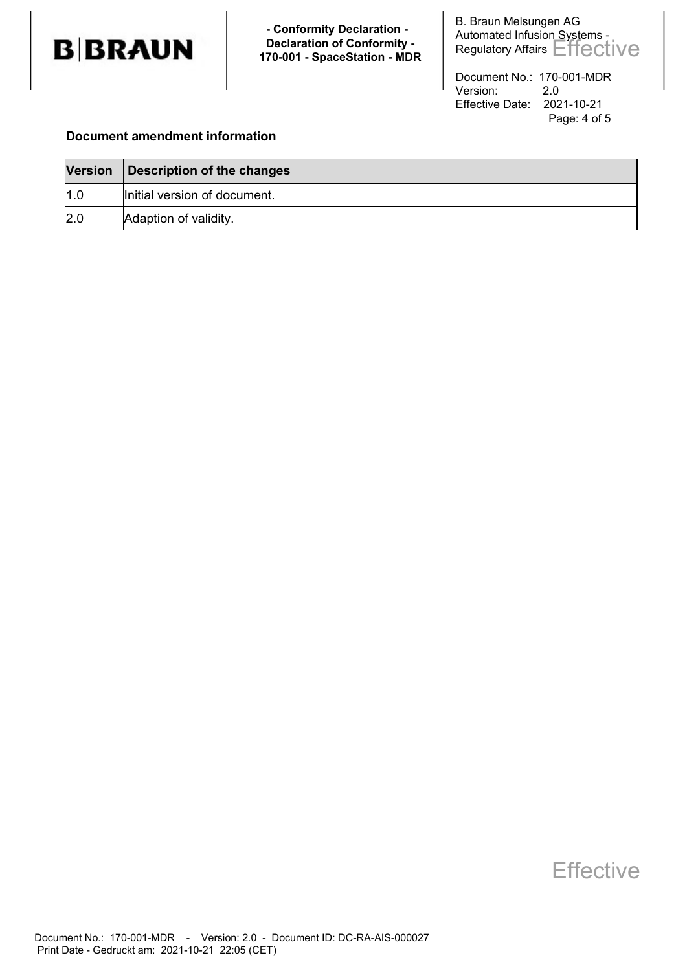

 **- Conformity Declaration - Declaration of Conformity - 170-001 - SpaceStation - MDR**

B. Braun Melsungen AG Automated Infusion Systems -Regulatory Affairs Effective

Document No.: 170-001-MDR Version: 2.0 Effective Date: 2021-10-21 Page: 4 of 5

#### **Document amendment information**

| <b>Version</b> | Description of the changes   |
|----------------|------------------------------|
| 1.0            | Initial version of document. |
| 2.0            | Adaption of validity.        |